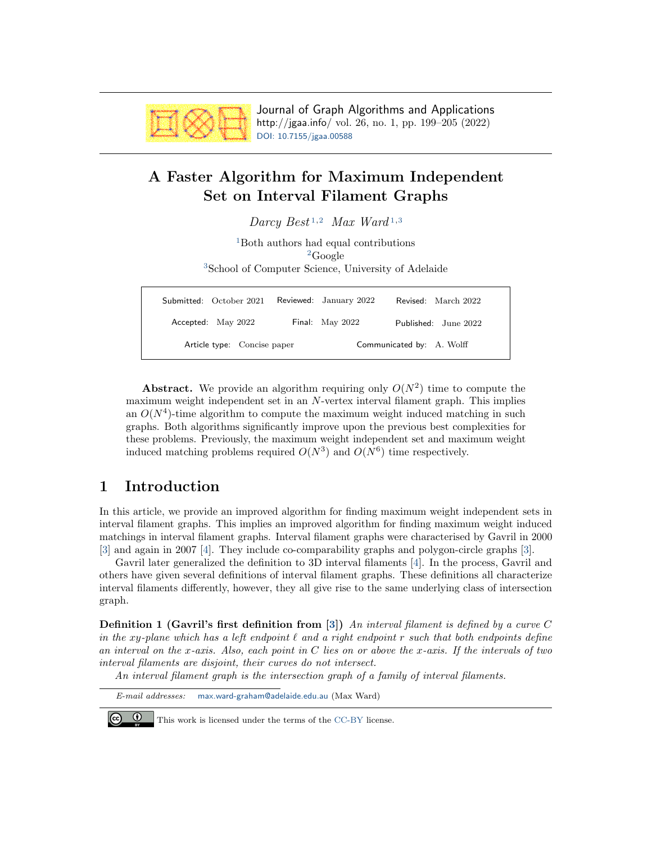

Journal of Graph Algorithms and Applications http://jgaa.info/ vol. 26, no. 1, pp. 199–205 (2022) [DOI: 10.7155/jgaa.00588](http://dx.doi.org/10.7155/jgaa.00588)

# <span id="page-0-0"></span>A Faster Algorithm for Maximum Independent Set on Interval Filament Graphs

| Darcy Best <sup>1,2</sup> Max Ward <sup>1,3</sup>                                                                                           |  |                        |                      |
|---------------------------------------------------------------------------------------------------------------------------------------------|--|------------------------|----------------------|
| <sup>1</sup> Both authors had equal contributions<br><sup>2</sup> Google<br><sup>3</sup> School of Computer Science, University of Adelaide |  |                        |                      |
| Submitted: October 2021                                                                                                                     |  | Reviewed: January 2022 | Revised: March 2022  |
| Accepted: May 2022                                                                                                                          |  | Final: May 2022        | Published: June 2022 |

Abstract. We provide an algorithm requiring only  $O(N^2)$  time to compute the maximum weight independent set in an N-vertex interval filament graph. This implies an  $O(N<sup>4</sup>)$ -time algorithm to compute the maximum weight induced matching in such graphs. Both algorithms significantly improve upon the previous best complexities for these problems. Previously, the maximum weight independent set and maximum weight induced matching problems required  $O(N^3)$  and  $O(N^6)$  time respectively.

Article type: Concise paper Communicated by: A. Wolff

## 1 Introduction

In this article, we provide an improved algorithm for finding maximum weight independent sets in interval filament graphs. This implies an improved algorithm for finding maximum weight induced matchings in interval filament graphs. Interval filament graphs were characterised by Gavril in 2000 [\[3\]](#page-6-0) and again in 2007 [\[4\]](#page-6-1). They include co-comparability graphs and polygon-circle graphs [\[3\]](#page-6-0).

Gavril later generalized the definition to 3D interval filaments [\[4\]](#page-6-1). In the process, Gavril and others have given several definitions of interval filament graphs. These definitions all characterize interval filaments differently, however, they all give rise to the same underlying class of intersection graph.

<span id="page-0-1"></span>**Definition 1 (Gavril's first definition from [\[3\]](#page-6-0))** An interval filament is defined by a curve C in the xy-plane which has a left endpoint  $\ell$  and a right endpoint r such that both endpoints define an interval on the x-axis. Also, each point in  $C$  lies on or above the x-axis. If the intervals of two interval filaments are disjoint, their curves do not intersect.

An interval filament graph is the intersection graph of a family of interval filaments.

E-mail addresses: [max.ward-graham@adelaide.edu.au](mailto:max.ward-graham@adelaide.edu.au) (Max Ward)

 $\odot$ 

This work is licensed under the terms of the [CC-BY](https://creativecommons.org/licenses/by/4.0/) license.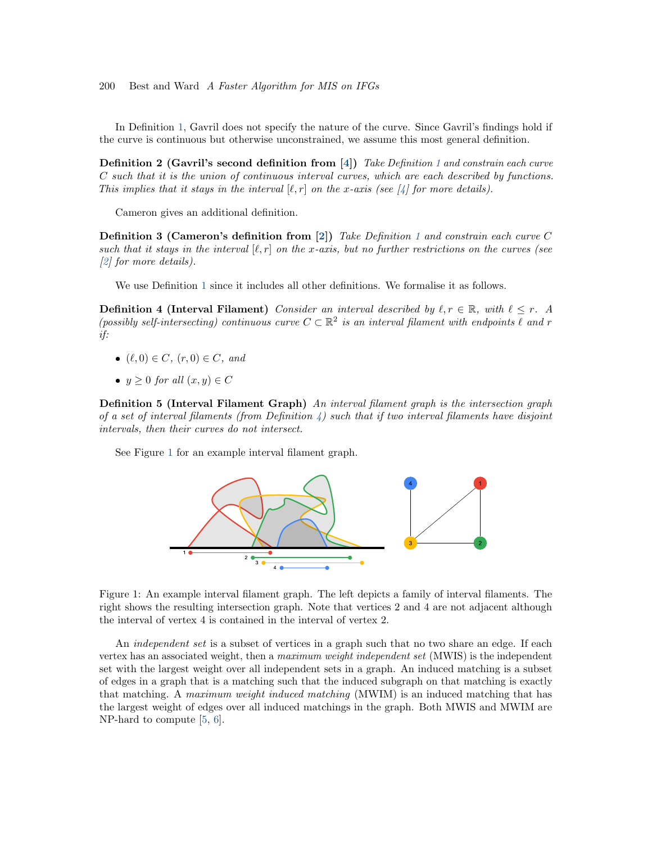In Definition [1,](#page-0-1) Gavril does not specify the nature of the curve. Since Gavril's findings hold if the curve is continuous but otherwise unconstrained, we assume this most general definition.

Definition 2 (Gavril's second definition from [\[4\]](#page-6-1)) Take Definition [1](#page-0-1) and constrain each curve C such that it is the union of continuous interval curves, which are each described by functions. This implies that it stays in the interval  $[\ell, r]$  on the x-axis (see [\[4\]](#page-6-1) for more details).

Cameron gives an additional definition.

**Definition 3 (Cameron's definition from [\[2\]](#page-6-2))** Take Definition [1](#page-0-1) and constrain each curve C such that it stays in the interval  $[\ell, r]$  on the x-axis, but no further restrictions on the curves (see [\[2\]](#page-6-2) for more details).

We use Definition [1](#page-0-1) since it includes all other definitions. We formalise it as follows.

<span id="page-1-0"></span>**Definition 4 (Interval Filament)** Consider an interval described by  $\ell, r \in \mathbb{R}$ , with  $\ell \leq r$ . A (possibly self-intersecting) continuous curve  $C \subset \mathbb{R}^2$  is an interval filament with endpoints  $\ell$  and r if:

- $(\ell, 0) \in C$ ,  $(r, 0) \in C$ , and
- $y \geq 0$  for all  $(x, y) \in C$

Definition 5 (Interval Filament Graph) An interval filament graph is the intersection graph of a set of interval filaments (from Definition  $\lambda$ ) such that if two interval filaments have disjoint intervals, then their curves do not intersect.

See Figure [1](#page-1-1) for an example interval filament graph.



<span id="page-1-1"></span>Figure 1: An example interval filament graph. The left depicts a family of interval filaments. The right shows the resulting intersection graph. Note that vertices 2 and 4 are not adjacent although the interval of vertex 4 is contained in the interval of vertex 2.

An *independent set* is a subset of vertices in a graph such that no two share an edge. If each vertex has an associated weight, then a maximum weight independent set (MWIS) is the independent set with the largest weight over all independent sets in a graph. An induced matching is a subset of edges in a graph that is a matching such that the induced subgraph on that matching is exactly that matching. A maximum weight induced matching (MWIM) is an induced matching that has the largest weight of edges over all induced matchings in the graph. Both MWIS and MWIM are NP-hard to compute [\[5,](#page-6-3) [6\]](#page-6-4).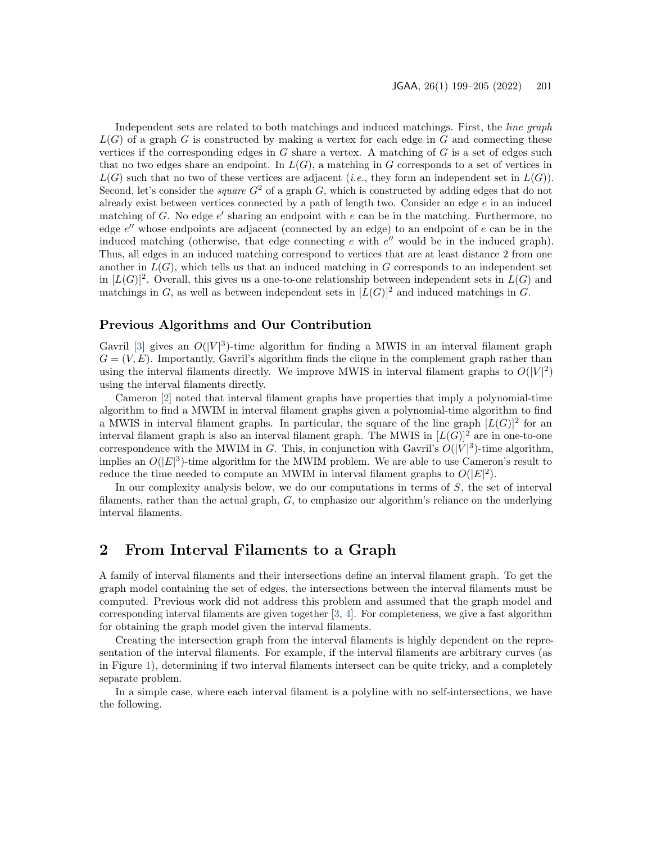Independent sets are related to both matchings and induced matchings. First, the line graph  $L(G)$  of a graph G is constructed by making a vertex for each edge in G and connecting these vertices if the corresponding edges in  $G$  share a vertex. A matching of  $G$  is a set of edges such that no two edges share an endpoint. In  $L(G)$ , a matching in G corresponds to a set of vertices in  $L(G)$  such that no two of these vertices are adjacent (*i.e.*, they form an independent set in  $L(G)$ ). Second, let's consider the *square*  $G^2$  of a graph G, which is constructed by adding edges that do not already exist between vertices connected by a path of length two. Consider an edge e in an induced matching of  $G$ . No edge  $e'$  sharing an endpoint with  $e$  can be in the matching. Furthermore, no edge  $e''$  whose endpoints are adjacent (connected by an edge) to an endpoint of  $e$  can be in the induced matching (otherwise, that edge connecting  $e$  with  $e''$  would be in the induced graph). Thus, all edges in an induced matching correspond to vertices that are at least distance 2 from one another in  $L(G)$ , which tells us that an induced matching in G corresponds to an independent set in  $[L(G)]^2$ . Overall, this gives us a one-to-one relationship between independent sets in  $L(G)$  and matchings in G, as well as between independent sets in  $[L(G)]^2$  and induced matchings in G.

#### Previous Algorithms and Our Contribution

Gavril [\[3\]](#page-6-0) gives an  $O(|V|^3)$ -time algorithm for finding a MWIS in an interval filament graph  $G = (V, E)$ . Importantly, Gavril's algorithm finds the clique in the complement graph rather than using the interval filaments directly. We improve MWIS in interval filament graphs to  $O(|V|^2)$ using the interval filaments directly.

Cameron [\[2\]](#page-6-2) noted that interval filament graphs have properties that imply a polynomial-time algorithm to find a MWIM in interval filament graphs given a polynomial-time algorithm to find a MWIS in interval filament graphs. In particular, the square of the line graph  $[L(G)]^2$  for an interval filament graph is also an interval filament graph. The MWIS in  $[L(G)]^2$  are in one-to-one correspondence with the MWIM in G. This, in conjunction with Gavril's  $O(|V|^3)$ -time algorithm, implies an  $O(|E|^3)$ -time algorithm for the MWIM problem. We are able to use Cameron's result to reduce the time needed to compute an MWIM in interval filament graphs to  $O(|E|^2)$ .

In our complexity analysis below, we do our computations in terms of  $S$ , the set of interval filaments, rather than the actual graph, G, to emphasize our algorithm's reliance on the underlying interval filaments.

## 2 From Interval Filaments to a Graph

A family of interval filaments and their intersections define an interval filament graph. To get the graph model containing the set of edges, the intersections between the interval filaments must be computed. Previous work did not address this problem and assumed that the graph model and corresponding interval filaments are given together [\[3,](#page-6-0) [4\]](#page-6-1). For completeness, we give a fast algorithm for obtaining the graph model given the interval filaments.

Creating the intersection graph from the interval filaments is highly dependent on the representation of the interval filaments. For example, if the interval filaments are arbitrary curves (as in Figure [1\)](#page-1-1), determining if two interval filaments intersect can be quite tricky, and a completely separate problem.

<span id="page-2-0"></span>In a simple case, where each interval filament is a polyline with no self-intersections, we have the following.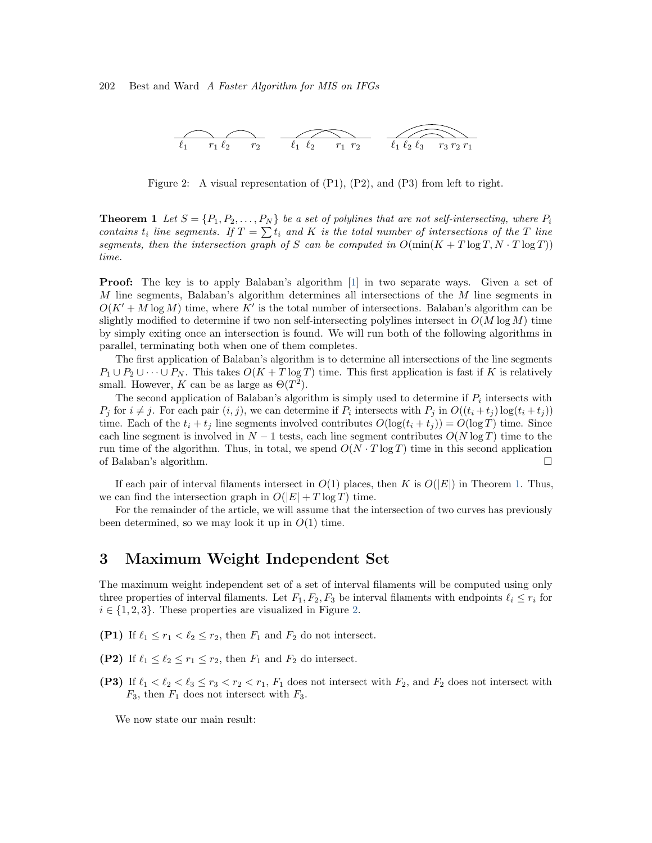

<span id="page-3-0"></span>Figure 2: A visual representation of  $(P1)$ ,  $(P2)$ , and  $(P3)$  from left to right.

**Theorem 1** Let  $S = \{P_1, P_2, \ldots, P_N\}$  be a set of polylines that are not self-intersecting, where  $P_i$ contains  $t_i$  line segments. If  $T = \sum t_i$  and K is the total number of intersections of the T line segments, then the intersection graph of S can be computed in  $O(\min(K + T \log T, N \cdot T \log T))$ time.

Proof: The key is to apply Balaban's algorithm [\[1\]](#page-6-5) in two separate ways. Given a set of M line segments, Balaban's algorithm determines all intersections of the M line segments in  $O(K' + M \log M)$  time, where K' is the total number of intersections. Balaban's algorithm can be slightly modified to determine if two non self-intersecting polylines intersect in  $O(M \log M)$  time by simply exiting once an intersection is found. We will run both of the following algorithms in parallel, terminating both when one of them completes.

The first application of Balaban's algorithm is to determine all intersections of the line segments  $P_1 \cup P_2 \cup \cdots \cup P_N$ . This takes  $O(K+T \log T)$  time. This first application is fast if K is relatively small. However, K can be as large as  $\Theta(T^2)$ .

The second application of Balaban's algorithm is simply used to determine if  $P_i$  intersects with  $P_j$  for  $i \neq j$ . For each pair  $(i, j)$ , we can determine if  $P_i$  intersects with  $P_j$  in  $O((t_i + t_j) \log(t_i + t_j))$ time. Each of the  $t_i + t_j$  line segments involved contributes  $O(\log(t_i + t_j)) = O(\log T)$  time. Since each line segment is involved in  $N-1$  tests, each line segment contributes  $O(N \log T)$  time to the run time of the algorithm. Thus, in total, we spend  $O(N \cdot T \log T)$  time in this second application of Balaban's algorithm. □

If each pair of interval filaments intersect in  $O(1)$  places, then K is  $O(|E|)$  in Theorem [1.](#page-2-0) Thus, we can find the intersection graph in  $O(|E| + T \log T)$  time.

For the remainder of the article, we will assume that the intersection of two curves has previously been determined, so we may look it up in  $O(1)$  time.

#### <span id="page-3-1"></span>3 Maximum Weight Independent Set

The maximum weight independent set of a set of interval filaments will be computed using only three properties of interval filaments. Let  $F_1, F_2, F_3$  be interval filaments with endpoints  $\ell_i \leq r_i$  for  $i \in \{1, 2, 3\}$ . These properties are visualized in Figure [2.](#page-3-0)

- (P1) If  $\ell_1 \leq r_1 < \ell_2 \leq r_2$ , then  $F_1$  and  $F_2$  do not intersect.
- (P2) If  $\ell_1 \leq \ell_2 \leq r_1 \leq r_2$ , then  $F_1$  and  $F_2$  do intersect.
- (P3) If  $\ell_1 < \ell_2 < \ell_3 \le r_3 < r_2 < r_1$ ,  $F_1$  does not intersect with  $F_2$ , and  $F_2$  does not intersect with  $F_3$ , then  $F_1$  does not intersect with  $F_3$ .

We now state our main result: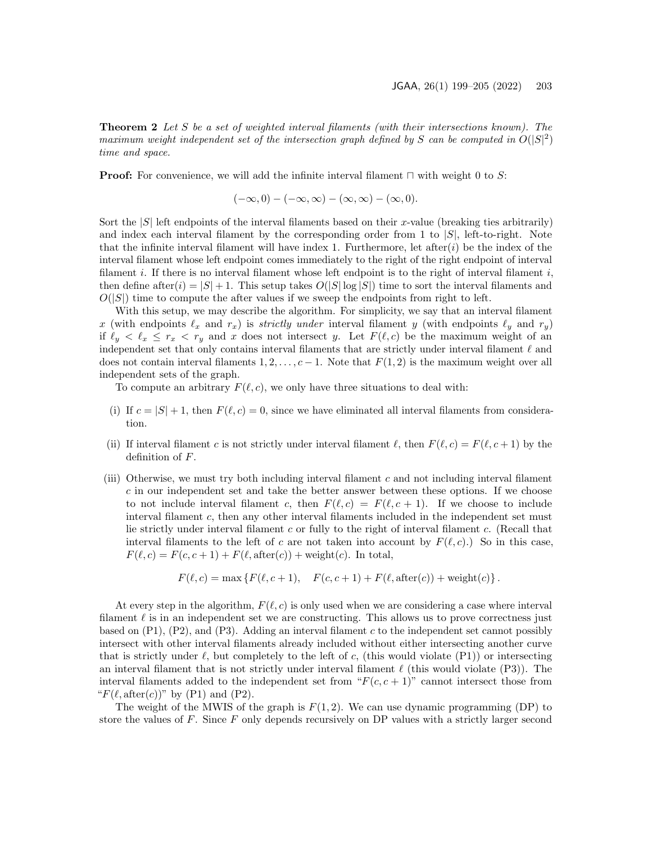Theorem 2 Let S be a set of weighted interval filaments (with their intersections known). The maximum weight independent set of the intersection graph defined by S can be computed in  $O(|S|^2)$ time and space.

**Proof:** For convenience, we will add the infinite interval filament  $\sqcap$  with weight 0 to S:

 $(-\infty, 0) - (-\infty, \infty) - (\infty, \infty) - (\infty, 0).$ 

Sort the  $|S|$  left endpoints of the interval filaments based on their x-value (breaking ties arbitrarily) and index each interval filament by the corresponding order from 1 to  $|S|$ , left-to-right. Note that the infinite interval filament will have index 1. Furthermore, let after  $(i)$  be the index of the interval filament whose left endpoint comes immediately to the right of the right endpoint of interval filament i. If there is no interval filament whose left endpoint is to the right of interval filament i, then define after(i) =  $|S|$  + 1. This setup takes  $O(|S| \log |S|)$  time to sort the interval filaments and  $O(|S|)$  time to compute the after values if we sweep the endpoints from right to left.

With this setup, we may describe the algorithm. For simplicity, we say that an interval filament x (with endpoints  $\ell_x$  and  $r_x$ ) is strictly under interval filament y (with endpoints  $\ell_y$  and  $r_y$ ) if  $\ell_y < \ell_x \leq r_x < r_y$  and x does not intersect y. Let  $F(\ell,c)$  be the maximum weight of an independent set that only contains interval filaments that are strictly under interval filament  $\ell$  and does not contain interval filaments  $1, 2, \ldots, c-1$ . Note that  $F(1, 2)$  is the maximum weight over all independent sets of the graph.

To compute an arbitrary  $F(\ell, c)$ , we only have three situations to deal with:

- (i) If  $c = |S| + 1$ , then  $F(\ell, c) = 0$ , since we have eliminated all interval filaments from consideration.
- (ii) If interval filament c is not strictly under interval filament  $\ell$ , then  $F(\ell, c) = F(\ell, c + 1)$  by the definition of F.
- (iii) Otherwise, we must try both including interval filament  $c$  and not including interval filament  $c$  in our independent set and take the better answer between these options. If we choose to not include interval filament c, then  $F(\ell, c) = F(\ell, c + 1)$ . If we choose to include interval filament c, then any other interval filaments included in the independent set must lie strictly under interval filament c or fully to the right of interval filament c. (Recall that interval filaments to the left of c are not taken into account by  $F(\ell, c)$ .) So in this case,  $F(\ell, c) = F(c, c + 1) + F(\ell, \text{after}(c)) + \text{weight}(c)$ . In total,

$$
F(\ell, c) = \max \{ F(\ell, c + 1), \quad F(c, c + 1) + F(\ell, \text{after}(c)) + \text{weight}(c) \}.
$$

At every step in the algorithm,  $F(\ell, c)$  is only used when we are considering a case where interval filament  $\ell$  is in an independent set we are constructing. This allows us to prove correctness just based on  $(P1)$ ,  $(P2)$ , and  $(P3)$ . Adding an interval filament c to the independent set cannot possibly intersect with other interval filaments already included without either intersecting another curve that is strictly under  $\ell$ , but completely to the left of c, (this would violate (P1)) or intersecting an interval filament that is not strictly under interval filament  $\ell$  (this would violate (P3)). The interval filaments added to the independent set from " $F(c, c + 1)$ " cannot intersect those from " $F(\ell, \text{after}(c))$ " by (P1) and (P2).

The weight of the MWIS of the graph is  $F(1, 2)$ . We can use dynamic programming (DP) to store the values of  $F$ . Since  $F$  only depends recursively on DP values with a strictly larger second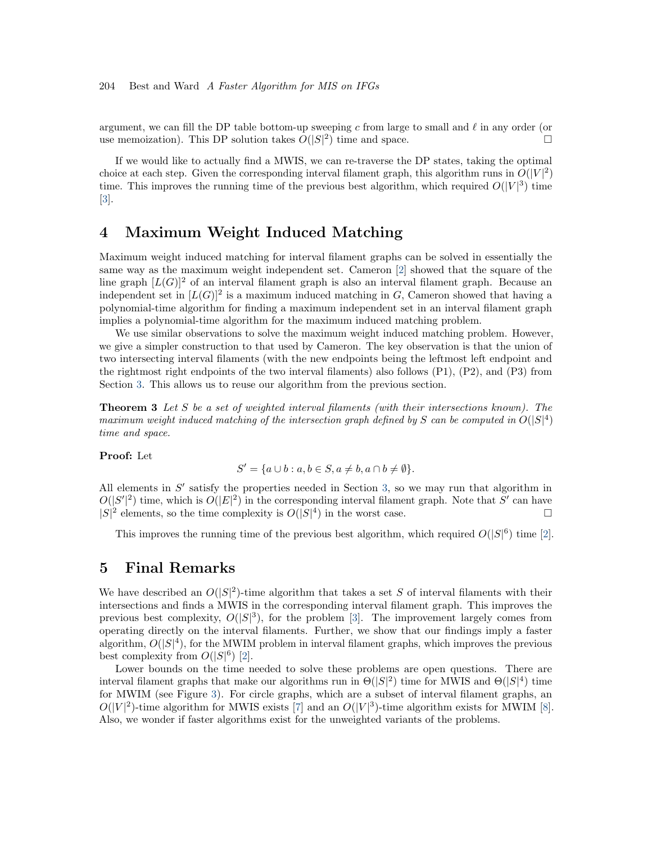argument, we can fill the DP table bottom-up sweeping c from large to small and  $\ell$  in any order (or use memoization). This DP solution takes  $O(|S|^2)$  time and space.

If we would like to actually find a MWIS, we can re-traverse the DP states, taking the optimal choice at each step. Given the corresponding interval filament graph, this algorithm runs in  $O(|V|^2)$ time. This improves the running time of the previous best algorithm, which required  $O(|V|^3)$  time [\[3\]](#page-6-0).

### 4 Maximum Weight Induced Matching

Maximum weight induced matching for interval filament graphs can be solved in essentially the same way as the maximum weight independent set. Cameron [\[2\]](#page-6-2) showed that the square of the line graph  $[L(G)]^2$  of an interval filament graph is also an interval filament graph. Because an independent set in  $[L(G)]^2$  is a maximum induced matching in G, Cameron showed that having a polynomial-time algorithm for finding a maximum independent set in an interval filament graph implies a polynomial-time algorithm for the maximum induced matching problem.

We use similar observations to solve the maximum weight induced matching problem. However, we give a simpler construction to that used by Cameron. The key observation is that the union of two intersecting interval filaments (with the new endpoints being the leftmost left endpoint and the rightmost right endpoints of the two interval filaments) also follows (P1), (P2), and (P3) from Section [3.](#page-3-1) This allows us to reuse our algorithm from the previous section.

**Theorem 3** Let S be a set of weighted interval filaments (with their intersections known). The maximum weight induced matching of the intersection graph defined by S can be computed in  $O(|S|^4)$ time and space.

#### Proof: Let

$$
S' = \{a \cup b : a, b \in S, a \neq b, a \cap b \neq \emptyset\}.
$$

All elements in  $S'$  satisfy the properties needed in Section [3,](#page-3-1) so we may run that algorithm in  $O(|S'|^2)$  time, which is  $O(|E|^2)$  in the corresponding interval filament graph. Note that S' can have  $|S|^2$  elements, so the time complexity is  $O(|S|^4)$  in the worst case.

This improves the running time of the previous best algorithm, which required  $O(|S|^6)$  time [\[2\]](#page-6-2).

#### 5 Final Remarks

We have described an  $O(|S|^2)$ -time algorithm that takes a set S of interval filaments with their intersections and finds a MWIS in the corresponding interval filament graph. This improves the previous best complexity,  $O(|S|^3)$ , for the problem [\[3\]](#page-6-0). The improvement largely comes from operating directly on the interval filaments. Further, we show that our findings imply a faster algorithm,  $O(|S|^4)$ , for the MWIM problem in interval filament graphs, which improves the previous best complexity from  $O(|S|^6)$  [\[2\]](#page-6-2).

Lower bounds on the time needed to solve these problems are open questions. There are interval filament graphs that make our algorithms run in  $\Theta(|S|^2)$  time for MWIS and  $\Theta(|S|^4)$  time for MWIM (see Figure [3\)](#page-6-6). For circle graphs, which are a subset of interval filament graphs, an  $O(|V|^2)$ -time algorithm for MWIS exists [\[7\]](#page-6-7) and an  $O(|V|^3)$ -time algorithm exists for MWIM [\[8\]](#page-6-8). Also, we wonder if faster algorithms exist for the unweighted variants of the problems.